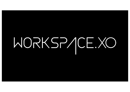# WORKSP/ICE.XO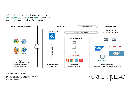**.XO** enables end-users and IT organizations to access services, tools, applications and desktops from any connected device regardless of their location.



XOSS | technical blueprint WORKSPACE.**XO**

Xtra Ordinary Software Solutions| Werderstraße 21 | 50672 Köln Fon +49 221 643083-0 | Fax +49 221 643083-99 info@xoss.io | http://xoss.io

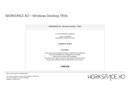## WORKSPACE.XO – Windows Desktop TRIAL

| WORKSPACE.XO - Windows Desktop - TRIAL                                                                          |
|-----------------------------------------------------------------------------------------------------------------|
|                                                                                                                 |
| 5 x virtual Windows Desktops                                                                                    |
| 2vCPU / 7,5 GB RAM<br>80 GB Volume / 50 GB User Volume                                                          |
| available for 30 days                                                                                           |
| <b>Description</b>                                                                                              |
| Access your Virtual Desktop through a website from anywhere.<br>No Client installation or management is needed. |
| Office 2019 or Office 365 is available.                                                                         |
| Use your known login accounts for the Desktop and the service.                                                  |
| Access your company backend applications and services.                                                          |
| <b>2.999 EUR</b>                                                                                                |
|                                                                                                                 |

XOSS | technical blueprint WORKSPACE.**XO**

Xtra Ordinary Software Solutions| Werderstraße 21 | 50672 Köln Fon +49 221 643083-0 | Fax +49 221 643083-99 info@xoss.io | http://xoss.io

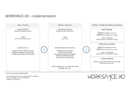### WORKSPACE.XO – implementation



XOSS | technical blueprint WORKSPACE.**XO**

Xtra Ordinary Software Solutions| Werderstraße 21 | 50672 Köln Fon +49 221 643083-0 | Fax +49 221 643083-99 info@xoss.io | http://xoss.io